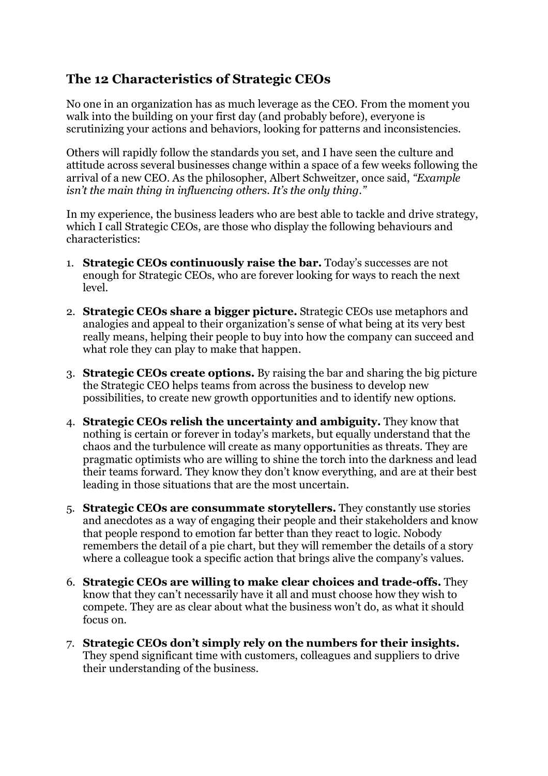## **The 12 Characteristics of Strategic CEOs**

No one in an organization has as much leverage as the CEO. From the moment you walk into the building on your first day (and probably before), everyone is scrutinizing your actions and behaviors, looking for patterns and inconsistencies.

Others will rapidly follow the standards you set, and I have seen the culture and attitude across several businesses change within a space of a few weeks following the arrival of a new CEO. As the philosopher, Albert Schweitzer, once said, *"Example isn't the main thing in influencing others. It's the only thing."*

In my experience, the business leaders who are best able to tackle and drive strategy, which I call Strategic CEOs, are those who display the following behaviours and characteristics:

- 1. **Strategic CEOs continuously raise the bar.** Today's successes are not enough for Strategic CEOs, who are forever looking for ways to reach the next level.
- 2. **Strategic CEOs share a bigger picture.** Strategic CEOs use metaphors and analogies and appeal to their organization's sense of what being at its very best really means, helping their people to buy into how the company can succeed and what role they can play to make that happen.
- 3. **Strategic CEOs create options.** By raising the bar and sharing the big picture the Strategic CEO helps teams from across the business to develop new possibilities, to create new growth opportunities and to identify new options.
- 4. **Strategic CEOs relish the uncertainty and ambiguity.** They know that nothing is certain or forever in today's markets, but equally understand that the chaos and the turbulence will create as many opportunities as threats. They are pragmatic optimists who are willing to shine the torch into the darkness and lead their teams forward. They know they don't know everything, and are at their best leading in those situations that are the most uncertain.
- 5. **Strategic CEOs are consummate storytellers.** They constantly use stories and anecdotes as a way of engaging their people and their stakeholders and know that people respond to emotion far better than they react to logic. Nobody remembers the detail of a pie chart, but they will remember the details of a story where a colleague took a specific action that brings alive the company's values.
- 6. **Strategic CEOs are willing to make clear choices and trade-offs.** They know that they can't necessarily have it all and must choose how they wish to compete. They are as clear about what the business won't do, as what it should focus on.
- 7. **Strategic CEOs don't simply rely on the numbers for their insights.** They spend significant time with customers, colleagues and suppliers to drive their understanding of the business.